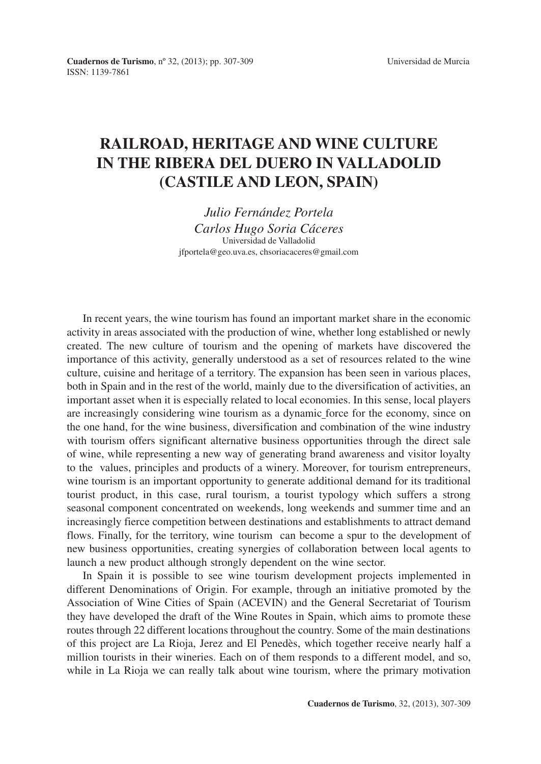## **RAILROAD, HERITAGE AND WINE CULTURE IN THE RIBERA DEL DUERO IN VALLADOLID (CASTILE AND LEON, SPAIN)**

*Julio Fernández Portela Carlos Hugo Soria Cáceres* Universidad de Valladolid jfportela@geo.uva.es, chsoriacaceres@gmail.com

In recent years, the wine tourism has found an important market share in the economic activity in areas associated with the production of wine, whether long established or newly created. The new culture of tourism and the opening of markets have discovered the importance of this activity, generally understood as a set of resources related to the wine culture, cuisine and heritage of a territory. The expansion has been seen in various places, both in Spain and in the rest of the world, mainly due to the diversification of activities, an important asset when it is especially related to local economies. In this sense, local players are increasingly considering wine tourism as a dynamic force for the economy, since on the one hand, for the wine business, diversification and combination of the wine industry with tourism offers significant alternative business opportunities through the direct sale of wine, while representing a new way of generating brand awareness and visitor loyalty to the values, principles and products of a winery. Moreover, for tourism entrepreneurs, wine tourism is an important opportunity to generate additional demand for its traditional tourist product, in this case, rural tourism, a tourist typology which suffers a strong seasonal component concentrated on weekends, long weekends and summer time and an increasingly fierce competition between destinations and establishments to attract demand flows. Finally, for the territory, wine tourism can become a spur to the development of new business opportunities, creating synergies of collaboration between local agents to launch a new product although strongly dependent on the wine sector.

In Spain it is possible to see wine tourism development projects implemented in different Denominations of Origin. For example, through an initiative promoted by the Association of Wine Cities of Spain (ACEVIN) and the General Secretariat of Tourism they have developed the draft of the Wine Routes in Spain, which aims to promote these routes through 22 different locations throughout the country. Some of the main destinations of this project are La Rioja, Jerez and El Penedès, which together receive nearly half a million tourists in their wineries. Each on of them responds to a different model, and so, while in La Rioja we can really talk about wine tourism, where the primary motivation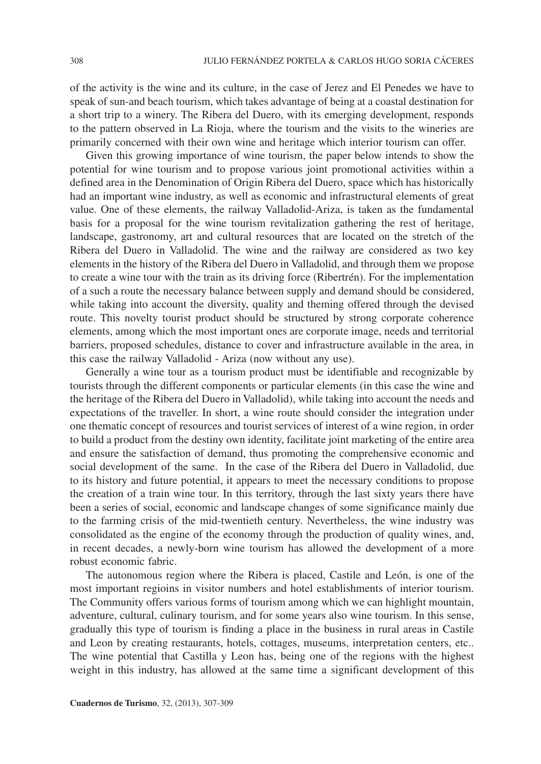of the activity is the wine and its culture, in the case of Jerez and El Penedes we have to speak of sun-and beach tourism, which takes advantage of being at a coastal destination for a short trip to a winery. The Ribera del Duero, with its emerging development, responds to the pattern observed in La Rioja, where the tourism and the visits to the wineries are primarily concerned with their own wine and heritage which interior tourism can offer.

Given this growing importance of wine tourism, the paper below intends to show the potential for wine tourism and to propose various joint promotional activities within a defined area in the Denomination of Origin Ribera del Duero, space which has historically had an important wine industry, as well as economic and infrastructural elements of great value. One of these elements, the railway Valladolid-Ariza, is taken as the fundamental basis for a proposal for the wine tourism revitalization gathering the rest of heritage, landscape, gastronomy, art and cultural resources that are located on the stretch of the Ribera del Duero in Valladolid. The wine and the railway are considered as two key elements in the history of the Ribera del Duero in Valladolid, and through them we propose to create a wine tour with the train as its driving force (Ribertrén). For the implementation of a such a route the necessary balance between supply and demand should be considered, while taking into account the diversity, quality and theming offered through the devised route. This novelty tourist product should be structured by strong corporate coherence elements, among which the most important ones are corporate image, needs and territorial barriers, proposed schedules, distance to cover and infrastructure available in the area, in this case the railway Valladolid - Ariza (now without any use).

Generally a wine tour as a tourism product must be identifiable and recognizable by tourists through the different components or particular elements (in this case the wine and the heritage of the Ribera del Duero in Valladolid), while taking into account the needs and expectations of the traveller. In short, a wine route should consider the integration under one thematic concept of resources and tourist services of interest of a wine region, in order to build a product from the destiny own identity, facilitate joint marketing of the entire area and ensure the satisfaction of demand, thus promoting the comprehensive economic and social development of the same. In the case of the Ribera del Duero in Valladolid, due to its history and future potential, it appears to meet the necessary conditions to propose the creation of a train wine tour. In this territory, through the last sixty years there have been a series of social, economic and landscape changes of some significance mainly due to the farming crisis of the mid-twentieth century. Nevertheless, the wine industry was consolidated as the engine of the economy through the production of quality wines, and, in recent decades, a newly-born wine tourism has allowed the development of a more robust economic fabric.

The autonomous region where the Ribera is placed, Castile and León, is one of the most important regioins in visitor numbers and hotel establishments of interior tourism. The Community offers various forms of tourism among which we can highlight mountain, adventure, cultural, culinary tourism, and for some years also wine tourism. In this sense, gradually this type of tourism is finding a place in the business in rural areas in Castile and Leon by creating restaurants, hotels, cottages, museums, interpretation centers, etc.. The wine potential that Castilla y Leon has, being one of the regions with the highest weight in this industry, has allowed at the same time a significant development of this